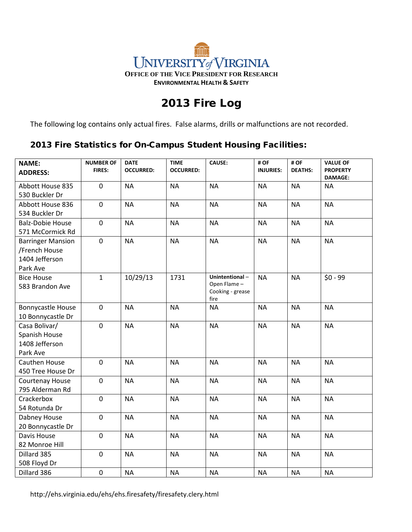## $\widehat{\mathbb{H}}$ UNIVERSITY of VIRGINIA **OFFICE OF THE VICE PRESIDENT FOR RESEARCH ENVIRONMENTAL HEALTH & SAFETY**

## 2013 Fire Log

The following log contains only actual fires. False alarms, drills or malfunctions are not recorded.

## 2013 Fire Statistics for On-Campus Student Housing Facilities:

| <b>NAME:</b><br><b>ADDRESS:</b> | <b>NUMBER OF</b><br><b>FIRES:</b> | <b>DATE</b><br><b>OCCURRED:</b> | <b>TIME</b><br><b>OCCURRED:</b> | <b>CAUSE:</b>                 | # OF<br><b>INJURIES:</b> | #OF<br><b>DEATHS:</b> | <b>VALUE OF</b><br><b>PROPERTY</b> |
|---------------------------------|-----------------------------------|---------------------------------|---------------------------------|-------------------------------|--------------------------|-----------------------|------------------------------------|
|                                 |                                   |                                 |                                 |                               |                          |                       | <b>DAMAGE:</b>                     |
| Abbott House 835                | $\overline{0}$                    | <b>NA</b>                       | <b>NA</b>                       | <b>NA</b>                     | <b>NA</b>                | <b>NA</b>             | <b>NA</b>                          |
| 530 Buckler Dr                  |                                   |                                 |                                 |                               |                          |                       |                                    |
| Abbott House 836                | $\mathbf 0$                       | <b>NA</b>                       | <b>NA</b>                       | <b>NA</b>                     | <b>NA</b>                | <b>NA</b>             | <b>NA</b>                          |
| 534 Buckler Dr                  |                                   |                                 |                                 |                               |                          |                       |                                    |
| <b>Balz-Dobie House</b>         | $\mathbf 0$                       | <b>NA</b>                       | <b>NA</b>                       | <b>NA</b>                     | <b>NA</b>                | <b>NA</b>             | <b>NA</b>                          |
| 571 McCormick Rd                |                                   |                                 |                                 |                               |                          |                       |                                    |
| <b>Barringer Mansion</b>        | $\mathbf 0$                       | <b>NA</b>                       | <b>NA</b>                       | <b>NA</b>                     | <b>NA</b>                | <b>NA</b>             | <b>NA</b>                          |
| /French House                   |                                   |                                 |                                 |                               |                          |                       |                                    |
| 1404 Jefferson                  |                                   |                                 |                                 |                               |                          |                       |                                    |
| Park Ave                        |                                   |                                 |                                 |                               |                          |                       |                                    |
| <b>Bice House</b>               | $\mathbf{1}$                      | 10/29/13                        | 1731                            | Unintentional-<br>Open Flame- | <b>NA</b>                | <b>NA</b>             | $$0 - 99$                          |
| 583 Brandon Ave                 |                                   |                                 |                                 | Cooking - grease              |                          |                       |                                    |
|                                 |                                   |                                 |                                 | fire                          |                          |                       |                                    |
| Bonnycastle House               | $\mathbf 0$                       | <b>NA</b>                       | <b>NA</b>                       | <b>NA</b>                     | <b>NA</b>                | <b>NA</b>             | <b>NA</b>                          |
| 10 Bonnycastle Dr               |                                   |                                 |                                 |                               |                          |                       |                                    |
| Casa Bolivar/                   | $\mathbf 0$                       | <b>NA</b>                       | <b>NA</b>                       | <b>NA</b>                     | <b>NA</b>                | <b>NA</b>             | <b>NA</b>                          |
| Spanish House                   |                                   |                                 |                                 |                               |                          |                       |                                    |
| 1408 Jefferson                  |                                   |                                 |                                 |                               |                          |                       |                                    |
| Park Ave                        |                                   |                                 |                                 |                               |                          |                       |                                    |
| Cauthen House                   | $\mathbf 0$                       | <b>NA</b>                       | <b>NA</b>                       | <b>NA</b>                     | <b>NA</b>                | <b>NA</b>             | <b>NA</b>                          |
| 450 Tree House Dr               |                                   |                                 |                                 |                               |                          |                       |                                    |
| Courtenay House                 | $\pmb{0}$                         | <b>NA</b>                       | <b>NA</b>                       | <b>NA</b>                     | <b>NA</b>                | <b>NA</b>             | <b>NA</b>                          |
| 795 Alderman Rd                 |                                   |                                 |                                 |                               |                          |                       |                                    |
| Crackerbox                      | $\pmb{0}$                         | <b>NA</b>                       | <b>NA</b>                       | <b>NA</b>                     | <b>NA</b>                | <b>NA</b>             | <b>NA</b>                          |
| 54 Rotunda Dr                   |                                   |                                 |                                 |                               |                          |                       |                                    |
| Dabney House                    | $\mathbf 0$                       | <b>NA</b>                       | <b>NA</b>                       | <b>NA</b>                     | <b>NA</b>                | <b>NA</b>             | <b>NA</b>                          |
| 20 Bonnycastle Dr               |                                   |                                 |                                 |                               |                          |                       |                                    |
| Davis House                     | $\mathbf 0$                       | <b>NA</b>                       | <b>NA</b>                       | <b>NA</b>                     | <b>NA</b>                | <b>NA</b>             | <b>NA</b>                          |
| 82 Monroe Hill                  |                                   |                                 |                                 |                               |                          |                       |                                    |
| Dillard 385                     | $\mathbf 0$                       | <b>NA</b>                       | <b>NA</b>                       | <b>NA</b>                     | <b>NA</b>                | <b>NA</b>             | <b>NA</b>                          |
| 508 Floyd Dr                    |                                   |                                 |                                 |                               |                          |                       |                                    |
| Dillard 386                     | $\pmb{0}$                         | <b>NA</b>                       | <b>NA</b>                       | <b>NA</b>                     | <b>NA</b>                | <b>NA</b>             | <b>NA</b>                          |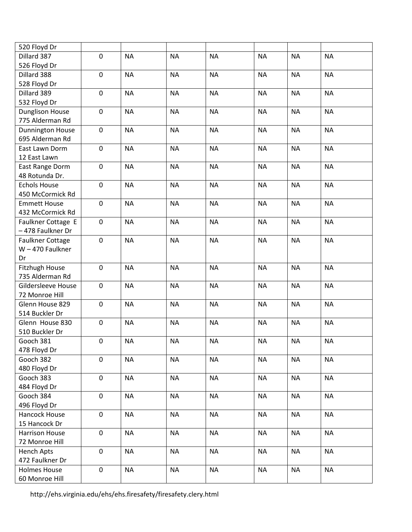| 520 Floyd Dr            |                  |           |           |           |           |           |           |
|-------------------------|------------------|-----------|-----------|-----------|-----------|-----------|-----------|
| Dillard 387             | $\mathbf 0$      | <b>NA</b> | <b>NA</b> | <b>NA</b> | <b>NA</b> | <b>NA</b> | <b>NA</b> |
| 526 Floyd Dr            |                  |           |           |           |           |           |           |
| Dillard 388             | $\pmb{0}$        | <b>NA</b> | <b>NA</b> | <b>NA</b> | <b>NA</b> | <b>NA</b> | <b>NA</b> |
| 528 Floyd Dr            |                  |           |           |           |           |           |           |
| Dillard 389             | $\mathbf 0$      | <b>NA</b> | <b>NA</b> | <b>NA</b> | <b>NA</b> | <b>NA</b> | <b>NA</b> |
| 532 Floyd Dr            |                  |           |           |           |           |           |           |
| <b>Dunglison House</b>  | $\mathbf 0$      | <b>NA</b> | <b>NA</b> | <b>NA</b> | <b>NA</b> | <b>NA</b> | <b>NA</b> |
| 775 Alderman Rd         |                  |           |           |           |           |           |           |
| Dunnington House        | $\pmb{0}$        | <b>NA</b> | <b>NA</b> | <b>NA</b> | <b>NA</b> | <b>NA</b> | <b>NA</b> |
| 695 Alderman Rd         |                  |           |           |           |           |           |           |
| East Lawn Dorm          | $\pmb{0}$        | <b>NA</b> | <b>NA</b> | <b>NA</b> | <b>NA</b> | <b>NA</b> | <b>NA</b> |
| 12 East Lawn            |                  |           |           |           |           |           |           |
| East Range Dorm         | $\mathbf 0$      | <b>NA</b> | <b>NA</b> | <b>NA</b> | <b>NA</b> | <b>NA</b> | <b>NA</b> |
| 48 Rotunda Dr.          |                  |           |           |           |           |           |           |
| <b>Echols House</b>     | $\pmb{0}$        | <b>NA</b> | <b>NA</b> | <b>NA</b> | <b>NA</b> | <b>NA</b> | <b>NA</b> |
| 450 McCormick Rd        |                  |           |           |           |           |           |           |
| <b>Emmett House</b>     | $\pmb{0}$        | <b>NA</b> | <b>NA</b> | <b>NA</b> | <b>NA</b> | <b>NA</b> | <b>NA</b> |
| 432 McCormick Rd        |                  |           |           |           |           |           |           |
| Faulkner Cottage E      | $\mathbf 0$      | <b>NA</b> | <b>NA</b> | <b>NA</b> | <b>NA</b> | <b>NA</b> | <b>NA</b> |
| - 478 Faulkner Dr       |                  |           |           |           |           |           |           |
| <b>Faulkner Cottage</b> | 0                | <b>NA</b> | <b>NA</b> | <b>NA</b> | <b>NA</b> | <b>NA</b> | <b>NA</b> |
| W-470 Faulkner          |                  |           |           |           |           |           |           |
| Dr                      |                  |           |           |           |           |           |           |
| Fitzhugh House          | $\pmb{0}$        | <b>NA</b> | <b>NA</b> | <b>NA</b> | <b>NA</b> | <b>NA</b> | <b>NA</b> |
| 735 Alderman Rd         |                  |           |           |           |           |           |           |
| Gildersleeve House      | $\mathbf 0$      | <b>NA</b> | <b>NA</b> | <b>NA</b> | <b>NA</b> | <b>NA</b> | <b>NA</b> |
| 72 Monroe Hill          |                  |           |           |           |           |           |           |
| Glenn House 829         | 0                | <b>NA</b> | <b>NA</b> | <b>NA</b> | <b>NA</b> | <b>NA</b> | <b>NA</b> |
| 514 Buckler Dr          |                  |           |           |           |           |           |           |
| Glenn House 830         | $\mathbf 0$      | <b>NA</b> | <b>NA</b> | <b>NA</b> | <b>NA</b> | <b>NA</b> | <b>NA</b> |
| 510 Buckler Dr          |                  |           |           |           |           |           |           |
| Gooch 381               | $\mathbf 0$      | <b>NA</b> | <b>NA</b> | <b>NA</b> | <b>NA</b> | <b>NA</b> | <b>NA</b> |
| 478 Floyd Dr            |                  |           |           |           |           |           |           |
| Gooch 382               | $\mathbf 0$      | <b>NA</b> | <b>NA</b> | <b>NA</b> | <b>NA</b> | $\sf NA$  | <b>NA</b> |
| 480 Floyd Dr            |                  |           |           |           |           |           |           |
| Gooch 383               | $\mathbf 0$      | <b>NA</b> | $\sf NA$  | <b>NA</b> | <b>NA</b> | <b>NA</b> | <b>NA</b> |
| 484 Floyd Dr            |                  |           |           |           |           |           |           |
| Gooch 384               | $\boldsymbol{0}$ | <b>NA</b> | <b>NA</b> | <b>NA</b> | <b>NA</b> | <b>NA</b> | <b>NA</b> |
| 496 Floyd Dr            |                  |           |           |           |           |           |           |
| Hancock House           | $\mathbf 0$      | <b>NA</b> | <b>NA</b> | <b>NA</b> | <b>NA</b> | $\sf NA$  | <b>NA</b> |
| 15 Hancock Dr           |                  |           |           |           |           |           |           |
| Harrison House          | $\mathbf 0$      | <b>NA</b> | <b>NA</b> | <b>NA</b> | <b>NA</b> | <b>NA</b> | <b>NA</b> |
| 72 Monroe Hill          |                  |           |           |           |           |           |           |
| <b>Hench Apts</b>       | $\mathbf 0$      | <b>NA</b> | <b>NA</b> | <b>NA</b> | <b>NA</b> | <b>NA</b> | <b>NA</b> |
| 472 Faulkner Dr         |                  |           |           |           |           |           |           |
| <b>Holmes House</b>     | $\pmb{0}$        | <b>NA</b> | <b>NA</b> | <b>NA</b> | <b>NA</b> | <b>NA</b> | <b>NA</b> |
| 60 Monroe Hill          |                  |           |           |           |           |           |           |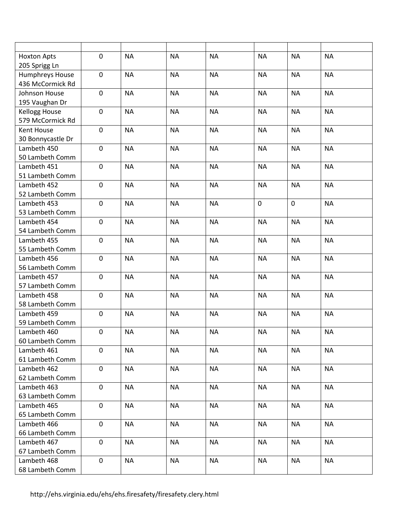| <b>Hoxton Apts</b><br>205 Sprigg Ln               | $\pmb{0}$        | <b>NA</b> | <b>NA</b> | <b>NA</b> | <b>NA</b>   | <b>NA</b>   | <b>NA</b> |
|---------------------------------------------------|------------------|-----------|-----------|-----------|-------------|-------------|-----------|
| Humphreys House<br>436 McCormick Rd               | $\pmb{0}$        | <b>NA</b> | <b>NA</b> | <b>NA</b> | <b>NA</b>   | <b>NA</b>   | <b>NA</b> |
| Johnson House<br>195 Vaughan Dr                   | $\mathbf 0$      | <b>NA</b> | <b>NA</b> | <b>NA</b> | <b>NA</b>   | <b>NA</b>   | <b>NA</b> |
| Kellogg House<br>579 McCormick Rd                 | $\mathbf 0$      | <b>NA</b> | <b>NA</b> | <b>NA</b> | <b>NA</b>   | <b>NA</b>   | <b>NA</b> |
| <b>Kent House</b><br>30 Bonnycastle Dr            | $\mathbf 0$      | <b>NA</b> | <b>NA</b> | <b>NA</b> | <b>NA</b>   | <b>NA</b>   | <b>NA</b> |
| Lambeth 450<br>50 Lambeth Comm                    | $\pmb{0}$        | <b>NA</b> | <b>NA</b> | <b>NA</b> | <b>NA</b>   | <b>NA</b>   | <b>NA</b> |
| Lambeth 451<br>51 Lambeth Comm                    | $\mathbf 0$      | <b>NA</b> | <b>NA</b> | <b>NA</b> | <b>NA</b>   | <b>NA</b>   | <b>NA</b> |
| Lambeth 452<br>52 Lambeth Comm                    | $\pmb{0}$        | <b>NA</b> | <b>NA</b> | <b>NA</b> | <b>NA</b>   | <b>NA</b>   | <b>NA</b> |
| Lambeth 453<br>53 Lambeth Comm                    | $\pmb{0}$        | <b>NA</b> | <b>NA</b> | <b>NA</b> | $\mathbf 0$ | $\mathbf 0$ | <b>NA</b> |
| Lambeth 454<br>54 Lambeth Comm                    | $\boldsymbol{0}$ | <b>NA</b> | <b>NA</b> | <b>NA</b> | <b>NA</b>   | <b>NA</b>   | <b>NA</b> |
| Lambeth 455<br>55 Lambeth Comm                    | $\mathbf 0$      | <b>NA</b> | <b>NA</b> | <b>NA</b> | <b>NA</b>   | <b>NA</b>   | <b>NA</b> |
| Lambeth 456                                       | $\mathbf 0$      | <b>NA</b> | <b>NA</b> | <b>NA</b> | <b>NA</b>   | <b>NA</b>   | <b>NA</b> |
| 56 Lambeth Comm<br>Lambeth 457                    | $\mathbf 0$      | <b>NA</b> | <b>NA</b> | <b>NA</b> | <b>NA</b>   | <b>NA</b>   | <b>NA</b> |
| 57 Lambeth Comm<br>Lambeth 458                    | $\mathbf 0$      | <b>NA</b> | <b>NA</b> | <b>NA</b> | <b>NA</b>   | <b>NA</b>   | <b>NA</b> |
| 58 Lambeth Comm<br>Lambeth 459<br>59 Lambeth Comm | $\boldsymbol{0}$ | <b>NA</b> | <b>NA</b> | <b>NA</b> | <b>NA</b>   | <b>NA</b>   | <b>NA</b> |
| Lambeth 460<br>60 Lambeth Comm                    | $\boldsymbol{0}$ | <b>NA</b> | <b>NA</b> | <b>NA</b> | <b>NA</b>   | <b>NA</b>   | <b>NA</b> |
| Lambeth 461<br>61 Lambeth Comm                    | $\mathbf 0$      | <b>NA</b> | <b>NA</b> | <b>NA</b> | <b>NA</b>   | <b>NA</b>   | <b>NA</b> |
| Lambeth 462<br>62 Lambeth Comm                    | $\mathbf 0$      | <b>NA</b> | <b>NA</b> | <b>NA</b> | <b>NA</b>   | <b>NA</b>   | <b>NA</b> |
| Lambeth 463<br>63 Lambeth Comm                    | $\mathbf 0$      | <b>NA</b> | <b>NA</b> | <b>NA</b> | <b>NA</b>   | <b>NA</b>   | <b>NA</b> |
| Lambeth 465<br>65 Lambeth Comm                    | $\mathbf 0$      | <b>NA</b> | <b>NA</b> | <b>NA</b> | <b>NA</b>   | <b>NA</b>   | <b>NA</b> |
| Lambeth 466<br>66 Lambeth Comm                    | $\mathbf 0$      | <b>NA</b> | <b>NA</b> | <b>NA</b> | <b>NA</b>   | <b>NA</b>   | <b>NA</b> |
| Lambeth 467<br>67 Lambeth Comm                    | $\mathbf 0$      | <b>NA</b> | <b>NA</b> | <b>NA</b> | <b>NA</b>   | <b>NA</b>   | <b>NA</b> |
| Lambeth 468<br>68 Lambeth Comm                    | $\mathbf 0$      | <b>NA</b> | <b>NA</b> | <b>NA</b> | <b>NA</b>   | <b>NA</b>   | <b>NA</b> |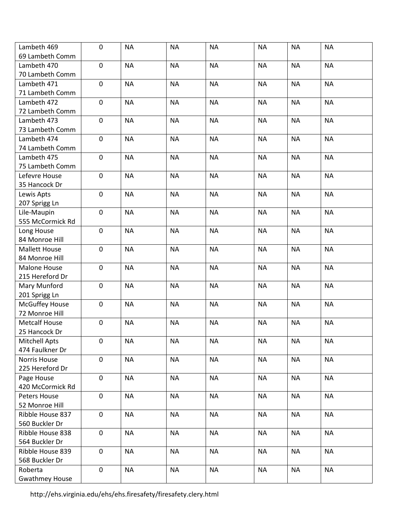| Lambeth 469           | $\pmb{0}$        | <b>NA</b> | <b>NA</b> | <b>NA</b> | <b>NA</b> | <b>NA</b> | <b>NA</b> |
|-----------------------|------------------|-----------|-----------|-----------|-----------|-----------|-----------|
| 69 Lambeth Comm       |                  |           |           |           |           |           |           |
| Lambeth 470           | $\mathbf 0$      | <b>NA</b> | <b>NA</b> | <b>NA</b> | <b>NA</b> | <b>NA</b> | <b>NA</b> |
| 70 Lambeth Comm       |                  |           |           |           |           |           |           |
| Lambeth 471           | $\pmb{0}$        | <b>NA</b> | <b>NA</b> | <b>NA</b> | <b>NA</b> | <b>NA</b> | <b>NA</b> |
| 71 Lambeth Comm       |                  |           |           |           |           |           |           |
| Lambeth 472           | $\pmb{0}$        | <b>NA</b> | <b>NA</b> | <b>NA</b> | <b>NA</b> | <b>NA</b> | <b>NA</b> |
| 72 Lambeth Comm       |                  |           |           |           |           |           |           |
| Lambeth 473           | $\pmb{0}$        | <b>NA</b> | <b>NA</b> | <b>NA</b> | <b>NA</b> | <b>NA</b> | <b>NA</b> |
| 73 Lambeth Comm       |                  |           |           |           |           |           |           |
| Lambeth 474           | $\pmb{0}$        | <b>NA</b> | <b>NA</b> | <b>NA</b> | <b>NA</b> | <b>NA</b> | <b>NA</b> |
| 74 Lambeth Comm       |                  |           |           |           |           |           |           |
| Lambeth 475           | $\mathbf 0$      | <b>NA</b> | <b>NA</b> | <b>NA</b> | <b>NA</b> | <b>NA</b> | <b>NA</b> |
| 75 Lambeth Comm       |                  |           |           |           |           |           |           |
| Lefevre House         | $\pmb{0}$        | <b>NA</b> | <b>NA</b> | <b>NA</b> | <b>NA</b> | <b>NA</b> | <b>NA</b> |
| 35 Hancock Dr         |                  |           |           |           |           |           |           |
| Lewis Apts            | $\pmb{0}$        | <b>NA</b> | <b>NA</b> | <b>NA</b> | <b>NA</b> | <b>NA</b> | <b>NA</b> |
| 207 Sprigg Ln         |                  |           |           |           |           |           |           |
| Lile-Maupin           | $\mathbf 0$      | <b>NA</b> | <b>NA</b> | <b>NA</b> | <b>NA</b> | <b>NA</b> | <b>NA</b> |
| 555 McCormick Rd      |                  |           |           |           |           |           |           |
| Long House            | $\mathbf 0$      | <b>NA</b> | <b>NA</b> | <b>NA</b> | <b>NA</b> | <b>NA</b> | <b>NA</b> |
| 84 Monroe Hill        |                  |           |           |           |           |           |           |
| <b>Mallett House</b>  | $\pmb{0}$        | <b>NA</b> | <b>NA</b> | <b>NA</b> | <b>NA</b> | <b>NA</b> | <b>NA</b> |
| 84 Monroe Hill        |                  |           |           |           |           |           |           |
| <b>Malone House</b>   | $\mathbf 0$      | <b>NA</b> | <b>NA</b> | <b>NA</b> | <b>NA</b> | <b>NA</b> | <b>NA</b> |
| 215 Hereford Dr       |                  |           |           |           |           |           |           |
| Mary Munford          | $\mathbf 0$      | <b>NA</b> | <b>NA</b> | <b>NA</b> | <b>NA</b> | <b>NA</b> | <b>NA</b> |
| 201 Sprigg Ln         |                  |           |           |           |           |           |           |
| <b>McGuffey House</b> | $\mathbf 0$      | <b>NA</b> | <b>NA</b> | <b>NA</b> | <b>NA</b> | <b>NA</b> | <b>NA</b> |
| 72 Monroe Hill        |                  |           |           |           |           |           |           |
| <b>Metcalf House</b>  | $\pmb{0}$        | <b>NA</b> | <b>NA</b> | <b>NA</b> | <b>NA</b> | <b>NA</b> | <b>NA</b> |
| 25 Hancock Dr         |                  |           |           |           |           |           |           |
| <b>Mitchell Apts</b>  | $\boldsymbol{0}$ | <b>NA</b> | <b>NA</b> | <b>NA</b> | <b>NA</b> | <b>NA</b> | <b>NA</b> |
| 474 Faulkner Dr       |                  |           |           |           |           |           |           |
| Norris House          | $\pmb{0}$        | <b>NA</b> | <b>NA</b> | <b>NA</b> | <b>NA</b> | <b>NA</b> | <b>NA</b> |
| 225 Hereford Dr       |                  |           |           |           |           |           |           |
| Page House            | $\pmb{0}$        | <b>NA</b> | <b>NA</b> | <b>NA</b> | <b>NA</b> | <b>NA</b> | <b>NA</b> |
| 420 McCormick Rd      |                  |           |           |           |           |           |           |
| Peters House          | $\mathbf 0$      | <b>NA</b> | <b>NA</b> | <b>NA</b> | <b>NA</b> | <b>NA</b> | <b>NA</b> |
| 52 Monroe Hill        |                  |           |           |           |           |           |           |
| Ribble House 837      | $\pmb{0}$        | <b>NA</b> | <b>NA</b> | <b>NA</b> | <b>NA</b> | <b>NA</b> | <b>NA</b> |
| 560 Buckler Dr        |                  |           |           |           |           |           |           |
| Ribble House 838      | $\pmb{0}$        | <b>NA</b> | <b>NA</b> | <b>NA</b> | <b>NA</b> | <b>NA</b> | <b>NA</b> |
| 564 Buckler Dr        |                  |           |           |           |           |           |           |
| Ribble House 839      | $\pmb{0}$        | <b>NA</b> | <b>NA</b> | <b>NA</b> | <b>NA</b> | <b>NA</b> | <b>NA</b> |
| 568 Buckler Dr        |                  |           |           |           |           |           |           |
| Roberta               | $\mathbf 0$      | <b>NA</b> | <b>NA</b> | <b>NA</b> | <b>NA</b> | <b>NA</b> | <b>NA</b> |
| <b>Gwathmey House</b> |                  |           |           |           |           |           |           |